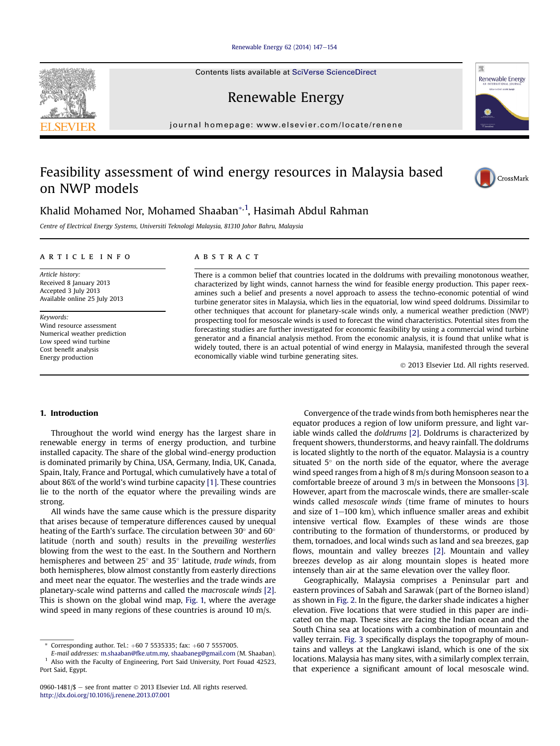#### Renewable Energy 62 (2014)  $147-154$  $147-154$

Contents lists available at SciVerse ScienceDirect

Renewable Energy

journal homepage: [www.elsevier.com/locate/renene](http://www.elsevier.com/locate/renene)

## Feasibility assessment of wind energy resources in Malaysia based on NWP models

# Khalid Mohamed Nor, Mohamed Shaaban<sup>\*, 1</sup>, Hasimah Abdul Rahman

Centre of Electrical Energy Systems, Universiti Teknologi Malaysia, 81310 Johor Bahru, Malaysia

#### article info

Article history: Received 8 January 2013 Accepted 3 July 2013 Available online 25 July 2013

Keywords: Wind resource assessment Numerical weather prediction Low speed wind turbine Cost benefit analysis Energy production

#### **ABSTRACT**

There is a common belief that countries located in the doldrums with prevailing monotonous weather, characterized by light winds, cannot harness the wind for feasible energy production. This paper reexamines such a belief and presents a novel approach to assess the techno-economic potential of wind turbine generator sites in Malaysia, which lies in the equatorial, low wind speed doldrums. Dissimilar to other techniques that account for planetary-scale winds only, a numerical weather prediction (NWP) prospecting tool for mesoscale winds is used to forecast the wind characteristics. Potential sites from the forecasting studies are further investigated for economic feasibility by using a commercial wind turbine generator and a financial analysis method. From the economic analysis, it is found that unlike what is widely touted, there is an actual potential of wind energy in Malaysia, manifested through the several economically viable wind turbine generating sites.

2013 Elsevier Ltd. All rights reserved.

#### 1. Introduction

Throughout the world wind energy has the largest share in renewable energy in terms of energy production, and turbine installed capacity. The share of the global wind-energy production is dominated primarily by China, USA, Germany, India, UK, Canada, Spain, Italy, France and Portugal, which cumulatively have a total of about 86% of the world's wind turbine capacity [1]. These countries lie to the north of the equator where the prevailing winds are strong.

All winds have the same cause which is the pressure disparity that arises because of temperature differences caused by unequal heating of the Earth's surface. The circulation between 30 $^{\circ}$  and 60 $^{\circ}$ latitude (north and south) results in the prevailing westerlies blowing from the west to the east. In the Southern and Northern hemispheres and between  $25^{\circ}$  and  $35^{\circ}$  latitude, trade winds, from both hemispheres, blow almost constantly from easterly directions and meet near the equator. The westerlies and the trade winds are planetary-scale wind patterns and called the macroscale winds [2]. This is shown on the global wind map, Fig. 1, where the average wind speed in many regions of these countries is around 10 m/s.

Convergence of the trade winds from both hemispheres near the equator produces a region of low uniform pressure, and light variable winds called the doldrums [2]. Doldrums is characterized by frequent showers, thunderstorms, and heavy rainfall. The doldrums is located slightly to the north of the equator. Malaysia is a country situated  $5^\circ$  on the north side of the equator, where the average wind speed ranges from a high of 8 m/s during Monsoon season to a comfortable breeze of around 3 m/s in between the Monsoons [3]. However, apart from the macroscale winds, there are smaller-scale winds called mesoscale winds (time frame of minutes to hours and size of  $1-100$  km), which influence smaller areas and exhibit intensive vertical flow. Examples of these winds are those contributing to the formation of thunderstorms, or produced by them, tornadoes, and local winds such as land and sea breezes, gap flows, mountain and valley breezes [2]. Mountain and valley breezes develop as air along mountain slopes is heated more intensely than air at the same elevation over the valley floor.

Geographically, Malaysia comprises a Peninsular part and eastern provinces of Sabah and Sarawak (part of the Borneo island) as shown in Fig. 2. In the figure, the darker shade indicates a higher elevation. Five locations that were studied in this paper are indicated on the map. These sites are facing the Indian ocean and the South China sea at locations with a combination of mountain and valley terrain. Fig. 3 specifically displays the topography of mountains and valleys at the Langkawi island, which is one of the six locations. Malaysia has many sites, with a similarly complex terrain, that experience a significant amount of local mesoscale wind.





Renewable Energy

環



Corresponding author. Tel.:  $+60$  7 5535335; fax:  $+60$  7 5557005.

E-mail addresses: [m.shaaban@fke.utm.my,](mailto:m.shaaban@fke.utm.my) [shaabaneg@gmail.com](mailto:shaabaneg@gmail.com) (M. Shaaban). Also with the Faculty of Engineering, Port Said University, Port Fouad 42523, Port Said, Egypt.

<sup>0960-1481/\$ -</sup> see front matter  $\odot$  2013 Elsevier Ltd. All rights reserved. <http://dx.doi.org/10.1016/j.renene.2013.07.001>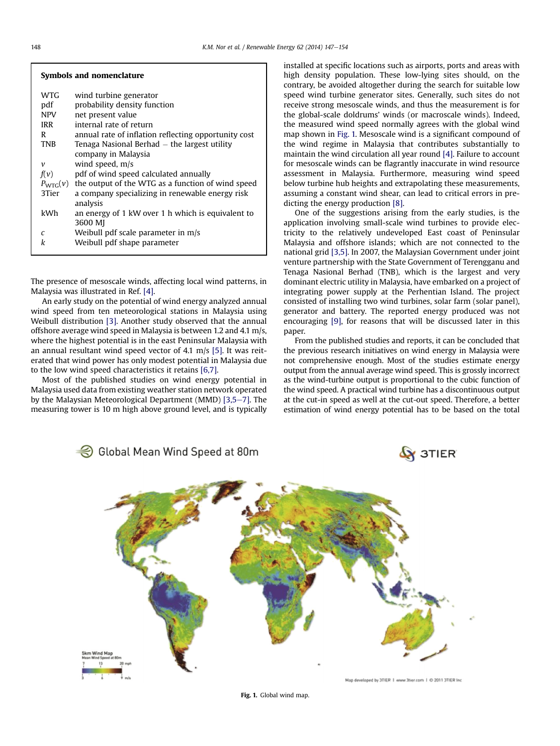| Symbols and nomenclature                                                 |
|--------------------------------------------------------------------------|
| wind turbine generator                                                   |
| probability density function                                             |
| net present value                                                        |
| internal rate of return                                                  |
| annual rate of inflation reflecting opportunity cost                     |
| Tenaga Nasional Berhad $-$ the largest utility                           |
| company in Malaysia                                                      |
| wind speed, m/s                                                          |
| pdf of wind speed calculated annually                                    |
| $P_{\text{WTC}}(v)$<br>the output of the WTG as a function of wind speed |
| a company specializing in renewable energy risk                          |
| analysis                                                                 |
| an energy of 1 kW over 1 h which is equivalent to                        |
| 3600 MI                                                                  |
| Weibull pdf scale parameter in m/s                                       |
| Weibull pdf shape parameter                                              |
|                                                                          |

The presence of mesoscale winds, affecting local wind patterns, in Malaysia was illustrated in Ref. [4].

An early study on the potential of wind energy analyzed annual wind speed from ten meteorological stations in Malaysia using Weibull distribution [3]. Another study observed that the annual offshore average wind speed in Malaysia is between 1.2 and 4.1 m/s, where the highest potential is in the east Peninsular Malaysia with an annual resultant wind speed vector of 4.1 m/s [5]. It was reiterated that wind power has only modest potential in Malaysia due to the low wind speed characteristics it retains [6,7].

Most of the published studies on wind energy potential in Malaysia used data from existing weather station network operated by the Malaysian Meteorological Department (MMD)  $[3,5-7]$ . The measuring tower is 10 m high above ground level, and is typically installed at specific locations such as airports, ports and areas with high density population. These low-lying sites should, on the contrary, be avoided altogether during the search for suitable low speed wind turbine generator sites. Generally, such sites do not receive strong mesoscale winds, and thus the measurement is for the global-scale doldrums' winds (or macroscale winds). Indeed, the measured wind speed normally agrees with the global wind map shown in Fig. 1. Mesoscale wind is a significant compound of the wind regime in Malaysia that contributes substantially to maintain the wind circulation all year round [4]. Failure to account for mesoscale winds can be flagrantly inaccurate in wind resource assessment in Malaysia. Furthermore, measuring wind speed below turbine hub heights and extrapolating these measurements, assuming a constant wind shear, can lead to critical errors in predicting the energy production [8].

One of the suggestions arising from the early studies, is the application involving small-scale wind turbines to provide electricity to the relatively undeveloped East coast of Peninsular Malaysia and offshore islands; which are not connected to the national grid [3,5]. In 2007, the Malaysian Government under joint venture partnership with the State Government of Terengganu and Tenaga Nasional Berhad (TNB), which is the largest and very dominant electric utility in Malaysia, have embarked on a project of integrating power supply at the Perhentian Island. The project consisted of installing two wind turbines, solar farm (solar panel), generator and battery. The reported energy produced was not encouraging [9], for reasons that will be discussed later in this paper.

From the published studies and reports, it can be concluded that the previous research initiatives on wind energy in Malaysia were not comprehensive enough. Most of the studies estimate energy output from the annual average wind speed. This is grossly incorrect as the wind-turbine output is proportional to the cubic function of the wind speed. A practical wind turbine has a discontinuous output at the cut-in speed as well at the cut-out speed. Therefore, a better estimation of wind energy potential has to be based on the total

& 3TIER



Fig. 1. Global wind map.

### S Global Mean Wind Speed at 80m